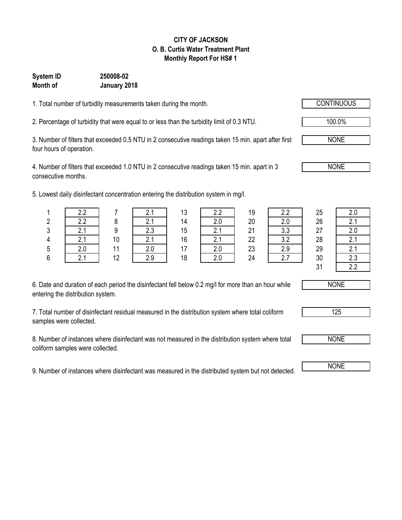#### **CITY OF JACKSON O. B. Curtis Water Treatment Plant Monthly Report For HS# 1**

### **System ID 250008-02 Month of January 2018**

1. Total number of turbidity measurements taken during the month.

2. Percentage of turbidity that were equal to or less than the turbidity limit of 0.3 NTU.

3. Number of filters that exceeded 0.5 NTU in 2 consecutive readings taken 15 min. apart after first four hours of operation.

4. Number of filters that exceeded 1.0 NTU in 2 consecutive readings taken 15 min. apart in 3 consecutive months.

5. Lowest daily disinfectant concentration entering the distribution system in mg/l.

|    | ר ר                  |    |            | 13 | າ າ<br>ے . د     | 19       |            | 25 | 2.0                 |
|----|----------------------|----|------------|----|------------------|----------|------------|----|---------------------|
|    | ററ                   |    | <u>.</u> . | 14 | <u>L.v</u>       | 20       | 2.0        | 26 | $\sim$ $\sim$<br>z. |
| ົ  |                      |    | ົດ         | 15 |                  | 21<br>∠⊣ | າ າ<br>v.v | 27 | 2.0                 |
|    | <u></u>              | 10 | $\sim$     | 16 | $\mathsf{Z}$ . I | 22       | っっ<br>◡.∠  | 28 | z.                  |
| .5 | $\sim$ $\sim$<br>z.u |    |            | 17 |                  | 23       | 2.9        | 29 | $\sim$<br>z.        |
|    |                      | 12 |            | 18 |                  | 24       |            | 30 | n n<br>2.J          |
|    |                      |    |            |    |                  |          |            |    |                     |

| 2.2 |
|-----|
| 2.0 |
| 3.3 |
| 3.2 |
| 2.9 |
| 27  |

| 2.0 |
|-----|
| 2.1 |
| 2.0 |
| 2.1 |
| 2.1 |
| 2.3 |
| 22  |

6. Date and duration of each period the disinfectant fell below 0.2 mg/l for more than an hour while entering the distribution system.

7. Total number of disinfectant residual measured in the distribution system where total coliform samples were collected.

8. Number of instances where disinfectant was not measured in the distribution system where total coliform samples were collected.

9. Number of instances where disinfectant was measured in the distributed system but not detected. NONE

NONE

125

NONE

 $31$ 

100.0%

NONE

NONE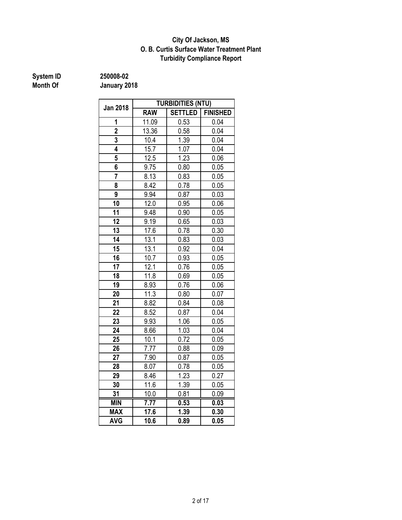#### **Turbidity Compliance Report O. B. Curtis Surface Water Treatment Plant City Of Jackson, MS**

## **System ID** 250008-02<br> **Month Of** January 20

|                 | <b>TURBIDITIES (NTU)</b> |                |                 |  |  |  |  |
|-----------------|--------------------------|----------------|-----------------|--|--|--|--|
| <b>Jan 2018</b> | <b>RAW</b>               | <b>SETTLED</b> | <b>FINISHED</b> |  |  |  |  |
| 1               | 11.09                    | 0.53           | 0.04            |  |  |  |  |
| $\overline{2}$  | 13.36                    | 0.58           | 0.04            |  |  |  |  |
| 3               | 10.4                     | 1.39           | 0.04            |  |  |  |  |
| 4               | 15.7                     | 1.07           | 0.04            |  |  |  |  |
| 5               | 12.5                     | 1.23           | 0.06            |  |  |  |  |
| 6               | 9.75                     | 0.80           | 0.05            |  |  |  |  |
| 7               | 8.13                     | 0.83           | 0.05            |  |  |  |  |
| 8               | 8.42                     | 0.78           | 0.05            |  |  |  |  |
| 9               | 9.94                     | 0.87           | 0.03            |  |  |  |  |
| 10              | 12.0                     | 0.95           | 0.06            |  |  |  |  |
| 11              | 9.48                     | 0.90           | 0.05            |  |  |  |  |
| 12              | 9.19                     | 0.65           | 0.03            |  |  |  |  |
| 13              | 17.6                     | 0.78           | 0.30            |  |  |  |  |
| 14              | 13.1                     | 0.83           | 0.03            |  |  |  |  |
| 15              | 13.1                     | 0.92           | 0.04            |  |  |  |  |
| 16              | 10.7                     | 0.93           | 0.05            |  |  |  |  |
| 17              | 12.1                     | 0.76           | 0.05            |  |  |  |  |
| 18              | 11.8                     | 0.69           | 0.05            |  |  |  |  |
| 19              | 8.93                     | 0.76           | 0.06            |  |  |  |  |
| 20              | 11.3                     | 0.80           | 0.07            |  |  |  |  |
| 21              | 8.82                     | 0.84           | 0.08            |  |  |  |  |
| 22              | 8.52                     | 0.87           | 0.04            |  |  |  |  |
| 23              | 9.93                     | 1.06           | 0.05            |  |  |  |  |
| 24              | 8.66                     | 1.03           | 0.04            |  |  |  |  |
| 25              | 10.1                     | 0.72           | 0.05            |  |  |  |  |
| 26              | 7.77                     | 0.88           | 0.09            |  |  |  |  |
| 27              | 7.90                     | 0.87           | 0.05            |  |  |  |  |
| 28              | 8.07                     | 0.78           | 0.05            |  |  |  |  |
| 29              | 8.46                     | 1.23           | 0.27            |  |  |  |  |
| 30              | 11.6                     | 1.39           | 0.05            |  |  |  |  |
| 31              | 10.0                     | 0.81           | 0.09            |  |  |  |  |
| <b>MIN</b>      | 7.77                     | 0.53           | 0.03            |  |  |  |  |
| <b>MAX</b>      | 17.6                     | 1.39           | 0.30            |  |  |  |  |
| <b>AVG</b>      | 10.6                     | 0.89           | 0.05            |  |  |  |  |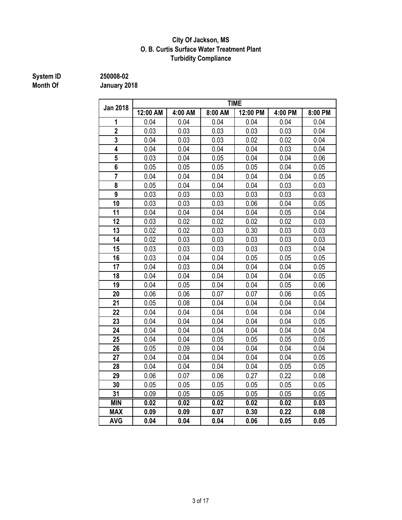#### **Turbidity Compliance City Of Jackson, MS O. B. Curtis Surface Water Treatment Plant**

## **System ID** 250008-02<br> **Month Of** January 20

| <b>Jan 2018</b>         | <b>TIME</b> |         |         |          |         |         |  |  |
|-------------------------|-------------|---------|---------|----------|---------|---------|--|--|
|                         | 12:00 AM    | 4:00 AM | 8:00 AM | 12:00 PM | 4:00 PM | 8:00 PM |  |  |
| 1                       | 0.04        | 0.04    | 0.04    | 0.04     | 0.04    | 0.04    |  |  |
| $\overline{2}$          | 0.03        | 0.03    | 0.03    | 0.03     | 0.03    | 0.04    |  |  |
| 3                       | 0.04        | 0.03    | 0.03    | 0.02     | 0.02    | 0.04    |  |  |
| 4                       | 0.04        | 0.04    | 0.04    | 0.04     | 0.03    | 0.04    |  |  |
| 5                       | 0.03        | 0.04    | 0.05    | 0.04     | 0.04    | 0.06    |  |  |
| 6                       | 0.05        | 0.05    | 0.05    | 0.05     | 0.04    | 0.05    |  |  |
| $\overline{\mathbf{7}}$ | 0.04        | 0.04    | 0.04    | 0.04     | 0.04    | 0.05    |  |  |
| 8                       | 0.05        | 0.04    | 0.04    | 0.04     | 0.03    | 0.03    |  |  |
| 9                       | 0.03        | 0.03    | 0.03    | 0.03     | 0.03    | 0.03    |  |  |
| 10                      | 0.03        | 0.03    | 0.03    | 0.06     | 0.04    | 0.05    |  |  |
| 11                      | 0.04        | 0.04    | 0.04    | 0.04     | 0.05    | 0.04    |  |  |
| 12                      | 0.03        | 0.02    | 0.02    | 0.02     | 0.02    | 0.03    |  |  |
| 13                      | 0.02        | 0.02    | 0.03    | 0.30     | 0.03    | 0.03    |  |  |
| 14                      | 0.02        | 0.03    | 0.03    | 0.03     | 0.03    | 0.03    |  |  |
| 15                      | 0.03        | 0.03    | 0.03    | 0.03     | 0.03    | 0.04    |  |  |
| 16                      | 0.03        | 0.04    | 0.04    | 0.05     | 0.05    | 0.05    |  |  |
| 17                      | 0.04        | 0.03    | 0.04    | 0.04     | 0.04    | 0.05    |  |  |
| 18                      | 0.04        | 0.04    | 0.04    | 0.04     | 0.04    | 0.05    |  |  |
| 19                      | 0.04        | 0.05    | 0.04    | 0.04     | 0.05    | 0.06    |  |  |
| 20                      | 0.06        | 0.06    | 0.07    | 0.07     | 0.06    | 0.05    |  |  |
| 21                      | 0.05        | 0.08    | 0.04    | 0.04     | 0.04    | 0.04    |  |  |
| 22                      | 0.04        | 0.04    | 0.04    | 0.04     | 0.04    | 0.04    |  |  |
| 23                      | 0.04        | 0.04    | 0.04    | 0.04     | 0.04    | 0.05    |  |  |
| 24                      | 0.04        | 0.04    | 0.04    | 0.04     | 0.04    | 0.04    |  |  |
| 25                      | 0.04        | 0.04    | 0.05    | 0.05     | 0.05    | 0.05    |  |  |
| 26                      | 0.05        | 0.09    | 0.04    | 0.04     | 0.04    | 0.04    |  |  |
| 27                      | 0.04        | 0.04    | 0.04    | 0.04     | 0.04    | 0.05    |  |  |
| 28                      | 0.04        | 0.04    | 0.04    | 0.04     | 0.05    | 0.05    |  |  |
| 29                      | 0.06        | 0.07    | 0.06    | 0.27     | 0.22    | 0.08    |  |  |
| 30                      | 0.05        | 0.05    | 0.05    | 0.05     | 0.05    | 0.05    |  |  |
| 31                      | 0.09        | 0.05    | 0.05    | 0.05     | 0.05    | 0.05    |  |  |
| <b>MIN</b>              | 0.02        | 0.02    | 0.02    | 0.02     | 0.02    | 0.03    |  |  |
| <b>MAX</b>              | 0.09        | 0.09    | 0.07    | 0.30     | 0.22    | 0.08    |  |  |
| <b>AVG</b>              | 0.04        | 0.04    | 0.04    | 0.06     | 0.05    | 0.05    |  |  |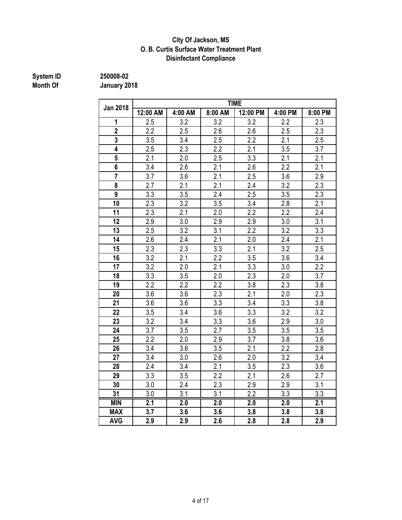#### **City Of Jackson, MS O. B. Curtis Surface Water Treatment Plant Disinfectant Compliance**

## **System ID** 250008-02<br> **Month Of** January 20

| <b>Jan 2018</b> | <b>TIME</b> |         |         |                  |         |                  |  |  |
|-----------------|-------------|---------|---------|------------------|---------|------------------|--|--|
|                 | 12:00 AM    | 4:00 AM | 8:00 AM | 12:00 PM         | 4:00 PM | 8:00 PM          |  |  |
| 1               | 2.5         | 3.2     | 3.2     | 3.2              | 2.2     | 2.3              |  |  |
| $\overline{2}$  | 2.2         | 2.5     | 2.6     | 2.6              | 2.5     | 2.3              |  |  |
| 3               | 3.5         | 3.4     | 2.5     | 2.2              | 2.1     | 2.5              |  |  |
| 4               | 2.5         | 2.3     | 2.2     | 2.1              | 3.5     | 3.7              |  |  |
| 5               | 2.1         | 2.0     | 2.5     | 3.3              | 2.1     | 2.1              |  |  |
| 6               | 3.4         | 2.6     | 2.1     | 2.6              | 2.2     | 2.1              |  |  |
| $\overline{7}$  | 3.7         | 3.6     | 2.1     | 2.5              | 3.6     | 2.9              |  |  |
| 8               | 2.7         | 2.1     | 2.1     | 2.4              | 3.2     | 2.3              |  |  |
| 9               | 3.3         | 3.5     | 2.4     | 2.5              | 3.5     | 2.3              |  |  |
| 10              | 2.3         | 3.2     | 3.5     | 3.4              | 2.8     | 2.1              |  |  |
| 11              | 2.3         | 2.1     | 2.0     | 2.2              | 2.2     | 2.4              |  |  |
| 12              | 2.9         | 3.0     | 2.9     | 2.9              | 3.0     | 3.1              |  |  |
| 13              | 2.5         | 3.2     | 3.1     | $\overline{2.2}$ | 3.2     | $\overline{3.3}$ |  |  |
| 14              | 2.6         | 2.4     | 2.1     | 2.0              | 2.4     | 2.1              |  |  |
| 15              | 2.3         | 2.3     | 3.3     | 2.1              | 3.2     | 2.5              |  |  |
| 16              | 3.2         | 2.1     | 2.2     | 3.5              | 3.6     | 3.4              |  |  |
| 17              | 3.2         | 2.0     | 2.1     | 3.3              | 3.0     | 2.2              |  |  |
| 18              | 3.3         | 3.5     | 2.0     | 2.3              | 2.0     | 3.7              |  |  |
| 19              | 2.2         | 2.2     | 2.2     | 3.8              | 2.3     | 3.8              |  |  |
| 20              | 3.6         | 3.6     | 2.3     | 2.1              | 2.0     | 2.3              |  |  |
| 21              | 3.6         | 3.6     | 3.3     | 3.4              | 3.3     | 3.8              |  |  |
| 22              | 3.5         | 3.4     | 3.6     | 3.3              | 3.2     | 3.2              |  |  |
| 23              | 3.2         | 3.4     | 3.3     | 3.6              | 2.9     | 3.0              |  |  |
| 24              | 3.7         | 3.5     | 2.7     | 3.5              | 3.5     | 3.5              |  |  |
| 25              | 2.2         | 2.0     | 2.9     | 3.7              | 3.8     | 3.6              |  |  |
| 26              | 3.4         | 3.6     | 3.5     | 2.1              | 2.2     | 2.8              |  |  |
| 27              | 3.4         | 3.0     | 2.6     | 2.0              | 3.2     | 3.4              |  |  |
| 28              | 2.4         | 3.4     | 2.1     | 3.5              | 2.3     | 3.6              |  |  |
| 29              | 3.3         | 3.5     | 2.2     | 2.1              | 2.6     | 2.7              |  |  |
| 30              | 3.0         | 2.4     | 2.3     | 2.9              | 2.9     | 3.1              |  |  |
| 31              | 3.0         | 3.1     | 3.1     | 2.2              | 3.3     | 3.3              |  |  |
| <b>MIN</b>      | 2.1         | 2.0     | 2.0     | 2.0              | 2.0     | 2.1              |  |  |
| <b>MAX</b>      | 3.7         | 3.6     | 3.6     | 3.8              | 3.8     | 3.8              |  |  |
| <b>AVG</b>      | 2.9         | 2.9     | 2.6     | 2.8              | 2.8     | 2.9              |  |  |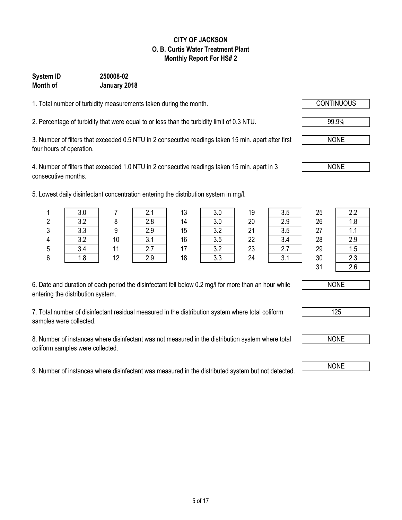#### **CITY OF JACKSON O. B. Curtis Water Treatment Plant Monthly Report For HS# 2**

### **Month of January 2018 System ID 250008-02**

1. Total number of turbidity measurements taken during the month.

2. Percentage of turbidity that were equal to or less than the turbidity limit of 0.3 NTU. 99.9%

3. Number of filters that exceeded 0.5 NTU in 2 consecutive readings taken 15 min. apart after first four hours of operation.

4. Number of filters that exceeded 1.0 NTU in 2 consecutive readings taken 15 min. apart in 3 consecutive months.

5. Lowest daily disinfectant concentration entering the distribution system in mg/l.

| 6. Date and duration of each period the disinfectant fell below 0.2 mg/l for more than an hour while |  |
|------------------------------------------------------------------------------------------------------|--|
| entering the distribution system.                                                                    |  |

7. Total number of disinfectant residual measured in the distribution system where total coliform samples were collected.

8. Number of instances where disinfectant was not measured in the distribution system where total coliform samples were collected.

9. Number of instances where disinfectant was measured in the distributed system but not detected.

|        |     |                |             | ィっ<br>l U | $\sim$ $\sim$<br>v.v | 19 | v.v | 25           | 2.2         |
|--------|-----|----------------|-------------|-----------|----------------------|----|-----|--------------|-------------|
|        |     |                | റ റ         | 14        | $\sim$ $\sim$<br>v.v | 20 | ი ი | 26           | ە ب<br>ن. ا |
| n<br>J | ∪.∪ |                | റ റ<br>ر. ے | 15        | ററ                   | 21 | v.v | 27           | . .         |
|        | າາ  | 1 <sub>0</sub> | ◡.          | 16        | v.v                  | 22 |     | 28           | 2.9         |
|        |     |                | <u>.</u>    |           | າ າ<br>◡…            | 23 |     | 29           | 1.5         |
| c<br>υ |     | 12<br>' 4      | s o         | 18        | ົດ<br>v.v            | 24 |     | 30           | 2.3         |
|        |     |                |             |           |                      |    |     | $\mathbf{A}$ | $\sim$      |

| L.L |
|-----|
| 1.8 |
| 1.1 |
| 2.9 |
| 1.5 |
| 2.3 |
| 2.6 |



125

NONE

 $31$ 



NONE

NONE

NONE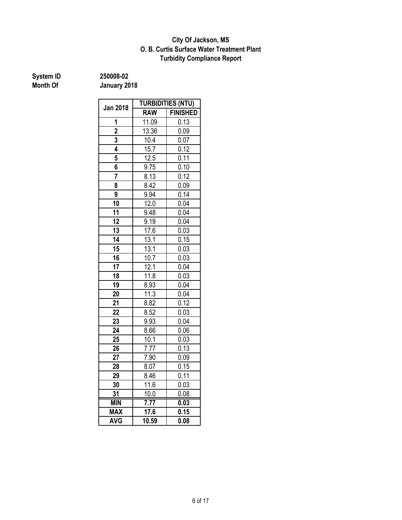#### **O. B. Curtis Surface Water Treatment Plant City Of Jackson, MS Turbidity Compliance Report**

**System ID** 250008-02<br> **Month Of** January 20

|                 | <b>TURBIDITIES (NTU)</b> |                 |  |  |  |
|-----------------|--------------------------|-----------------|--|--|--|
| <b>Jan 2018</b> | <b>RAW</b>               | <b>FINISHED</b> |  |  |  |
| 1               | 11.09                    | 0.13            |  |  |  |
| $\overline{2}$  | 13.36                    | 0.09            |  |  |  |
| 3               | 10.4                     | 0.07            |  |  |  |
| 4               | 15.7                     | 0.12            |  |  |  |
| 5               | 12.5                     | 0.11            |  |  |  |
| 6               | 9.75                     | 0.10            |  |  |  |
| 7               | 8.13                     | 0.12            |  |  |  |
| 8               | 8.42                     | 0.09            |  |  |  |
| 9               | 9.94                     | 0.14            |  |  |  |
| 10              | 12.0                     | 0.04            |  |  |  |
| 11              | 9.48                     | 0.04            |  |  |  |
| 12              | 9.19                     | 0.04            |  |  |  |
| 13              | 17.6                     | 0.03            |  |  |  |
| 14              | 13.1                     | 0.15            |  |  |  |
| 15              | 13.1                     | 0.03            |  |  |  |
| 16              | 10.7                     | 0.03            |  |  |  |
| 17              | 12.1                     | 0.04            |  |  |  |
| 18              | 11.8                     | 0.03            |  |  |  |
| 19              | 8.93                     | 0.04            |  |  |  |
| 20              | 11.3                     | 0.04            |  |  |  |
| 21              | 8.82                     | 0.12            |  |  |  |
| 22              | 8.52                     | 0.03            |  |  |  |
| 23              | 9.93                     | 0.04            |  |  |  |
| 24              | 8.66                     | 0.06            |  |  |  |
| 25              | 10.1                     | 0.03            |  |  |  |
| 26              | 7.77                     | 0.13            |  |  |  |
| 27              | 7.90                     | 0.09            |  |  |  |
| 28              | 8.07                     | 0.15            |  |  |  |
| 29              | 8.46                     | 0.11            |  |  |  |
| 30              | 11.6                     | 0.03            |  |  |  |
| 31              | 10.0                     | 0.08            |  |  |  |
| <b>MIN</b>      | $\overline{7.77}$        | 0.03            |  |  |  |
| <b>MAX</b>      | 17.6                     | 0.15            |  |  |  |
| <b>AVG</b>      | 10.59                    | 0.08            |  |  |  |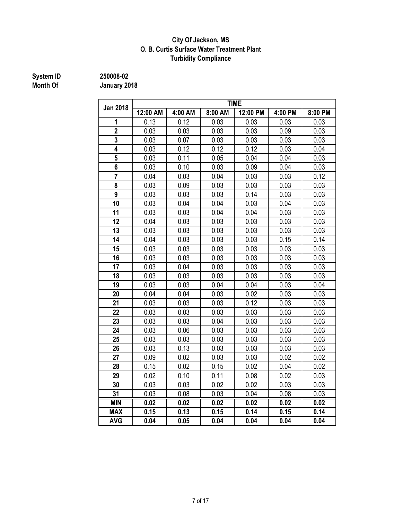#### **City Of Jackson, MS O. B. Curtis Surface Water Treatment Plant Turbidity Compliance**

## **System ID 250008-02 Month Of**

| <b>Jan 2018</b> | <b>TIME</b> |         |         |          |         |         |  |  |
|-----------------|-------------|---------|---------|----------|---------|---------|--|--|
|                 | 12:00 AM    | 4:00 AM | 8:00 AM | 12:00 PM | 4:00 PM | 8:00 PM |  |  |
| 1               | 0.13        | 0.12    | 0.03    | 0.03     | 0.03    | 0.03    |  |  |
| $\overline{2}$  | 0.03        | 0.03    | 0.03    | 0.03     | 0.09    | 0.03    |  |  |
| $\overline{3}$  | 0.03        | 0.07    | 0.03    | 0.03     | 0.03    | 0.03    |  |  |
| 4               | 0.03        | 0.12    | 0.12    | 0.12     | 0.03    | 0.04    |  |  |
| 5               | 0.03        | 0.11    | 0.05    | 0.04     | 0.04    | 0.03    |  |  |
| 6               | 0.03        | 0.10    | 0.03    | 0.09     | 0.04    | 0.03    |  |  |
| $\overline{7}$  | 0.04        | 0.03    | 0.04    | 0.03     | 0.03    | 0.12    |  |  |
| 8               | 0.03        | 0.09    | 0.03    | 0.03     | 0.03    | 0.03    |  |  |
| 9               | 0.03        | 0.03    | 0.03    | 0.14     | 0.03    | 0.03    |  |  |
| 10              | 0.03        | 0.04    | 0.04    | 0.03     | 0.04    | 0.03    |  |  |
| 11              | 0.03        | 0.03    | 0.04    | 0.04     | 0.03    | 0.03    |  |  |
| 12              | 0.04        | 0.03    | 0.03    | 0.03     | 0.03    | 0.03    |  |  |
| 13              | 0.03        | 0.03    | 0.03    | 0.03     | 0.03    | 0.03    |  |  |
| 14              | 0.04        | 0.03    | 0.03    | 0.03     | 0.15    | 0.14    |  |  |
| 15              | 0.03        | 0.03    | 0.03    | 0.03     | 0.03    | 0.03    |  |  |
| 16              | 0.03        | 0.03    | 0.03    | 0.03     | 0.03    | 0.03    |  |  |
| 17              | 0.03        | 0.04    | 0.03    | 0.03     | 0.03    | 0.03    |  |  |
| 18              | 0.03        | 0.03    | 0.03    | 0.03     | 0.03    | 0.03    |  |  |
| 19              | 0.03        | 0.03    | 0.04    | 0.04     | 0.03    | 0.04    |  |  |
| 20              | 0.04        | 0.04    | 0.03    | 0.02     | 0.03    | 0.03    |  |  |
| 21              | 0.03        | 0.03    | 0.03    | 0.12     | 0.03    | 0.03    |  |  |
| 22              | 0.03        | 0.03    | 0.03    | 0.03     | 0.03    | 0.03    |  |  |
| 23              | 0.03        | 0.03    | 0.04    | 0.03     | 0.03    | 0.03    |  |  |
| 24              | 0.03        | 0.06    | 0.03    | 0.03     | 0.03    | 0.03    |  |  |
| 25              | 0.03        | 0.03    | 0.03    | 0.03     | 0.03    | 0.03    |  |  |
| 26              | 0.03        | 0.13    | 0.03    | 0.03     | 0.03    | 0.03    |  |  |
| 27              | 0.09        | 0.02    | 0.03    | 0.03     | 0.02    | 0.02    |  |  |
| 28              | 0.15        | 0.02    | 0.15    | 0.02     | 0.04    | 0.02    |  |  |
| 29              | 0.02        | 0.10    | 0.11    | 0.08     | 0.02    | 0.03    |  |  |
| 30              | 0.03        | 0.03    | 0.02    | 0.02     | 0.03    | 0.03    |  |  |
| 31              | 0.03        | 0.08    | 0.03    | 0.04     | 0.08    | 0.03    |  |  |
| <b>MIN</b>      | 0.02        | 0.02    | 0.02    | 0.02     | 0.02    | 0.02    |  |  |
| <b>MAX</b>      | 0.15        | 0.13    | 0.15    | 0.14     | 0.15    | 0.14    |  |  |
| <b>AVG</b>      | 0.04        | 0.05    | 0.04    | 0.04     | 0.04    | 0.04    |  |  |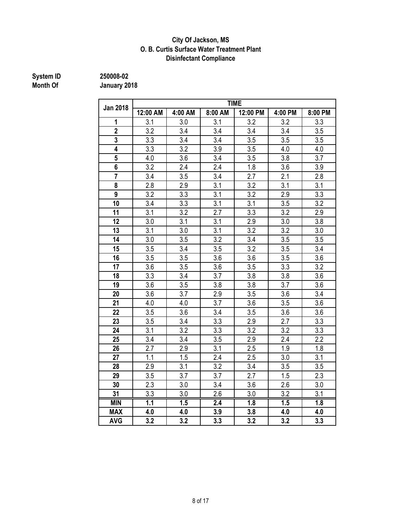#### **City Of Jackson, MS O. B. Curtis Surface Water Treatment Plant Disinfectant Compliance**

## **System ID** 250008-02<br> **Month Of** January 20

|                 |                  |                  |                  | <b>TIME</b> |                  |                  |
|-----------------|------------------|------------------|------------------|-------------|------------------|------------------|
| <b>Jan 2018</b> | 12:00 AM         | 4:00 AM          | 8:00 AM          | 12:00 PM    | 4:00 PM          | 8:00 PM          |
| 1               | 3.1              | 3.0              | 3.1              | 3.2         | 3.2              | 3.3              |
| $\overline{2}$  | 3.2              | 3.4              | 3.4              | 3.4         | 3.4              | 3.5              |
| 3               | 3.3              | 3.4              | 3.4              | 3.5         | 3.5              | 3.5              |
| 4               | 3.3              | 3.2              | 3.9              | 3.5         | 4.0              | 4.0              |
| 5               | 4.0              | 3.6              | 3.4              | 3.5         | 3.8              | 3.7              |
| 6               | 3.2              | 2.4              | 2.4              | 1.8         | 3.6              | 3.9              |
| $\overline{7}$  | 3.4              | 3.5              | 3.4              | 2.7         | 2.1              | 2.8              |
| 8               | 2.8              | 2.9              | 3.1              | 3.2         | 3.1              | 3.1              |
| 9               | 3.2              | 3.3              | 3.1              | 3.2         | 2.9              | 3.3              |
| 10              | 3.4              | 3.3              | 3.1              | 3.1         | 3.5              | 3.2              |
| 11              | 3.1              | 3.2              | 2.7              | 3.3         | 3.2              | 2.9              |
| 12              | 3.0              | 3.1              | 3.1              | 2.9         | 3.0              | 3.8              |
| 13              | 3.1              | 3.0              | 3.1              | 3.2         | 3.2              | 3.0              |
| 14              | 3.0              | 3.5              | 3.2              | 3.4         | 3.5              | 3.5              |
| 15              | 3.5              | 3.4              | 3.5              | 3.2         | 3.5              | 3.4              |
| 16              | 3.5              | 3.5              | 3.6              | 3.6         | 3.5              | 3.6              |
| 17              | 3.6              | 3.5              | 3.6              | 3.5         | 3.3              | 3.2              |
| 18              | 3.3              | 3.4              | 3.7              | 3.8         | 3.8              | 3.6              |
| 19              | 3.6              | 3.5              | 3.8              | 3.8         | 3.7              | 3.6              |
| 20              | 3.6              | 3.7              | 2.9              | 3.5         | 3.6              | 3.4              |
| 21              | 4.0              | 4.0              | 3.7              | 3.6         | 3.5              | 3.6              |
| 22              | 3.5              | 3.6              | 3.4              | 3.5         | 3.6              | 3.6              |
| 23              | 3.5              | 3.4              | 3.3              | 2.9         | 2.7              | 3.3              |
| 24              | 3.1              | 3.2              | 3.3              | 3.2         | 3.2              | 3.3              |
| 25              | 3.4              | 3.4              | 3.5              | 2.9         | 2.4              | 2.2              |
| 26              | 2.7              | 2.9              | 3.1              | 2.5         | 1.9              | 1.8              |
| 27              | 1.1              | 1.5              | 2.4              | 2.5         | 3.0              | 3.1              |
| 28              | 2.9              | 3.1              | 3.2              | 3.4         | 3.5              | 3.5              |
| 29              | 3.5              | 3.7              | 3.7              | 2.7         | 1.5              | 2.3              |
| 30              | 2.3              | 3.0              | 3.4              | 3.6         | 2.6              | 3.0              |
| 31              | 3.3              | 3.0              | 2.6              | 3.0         | 3.2              | 3.1              |
| <b>MIN</b>      | $\overline{1.1}$ | $\overline{1.5}$ | $\overline{2.4}$ | 1.8         | $\overline{1.5}$ | $\overline{1.8}$ |
| <b>MAX</b>      | 4.0              | 4.0              | 3.9              | 3.8         | 4.0              | 4.0              |
| <b>AVG</b>      | 3.2              | 3.2              | 3.3              | 3.2         | 3.2              | 3.3              |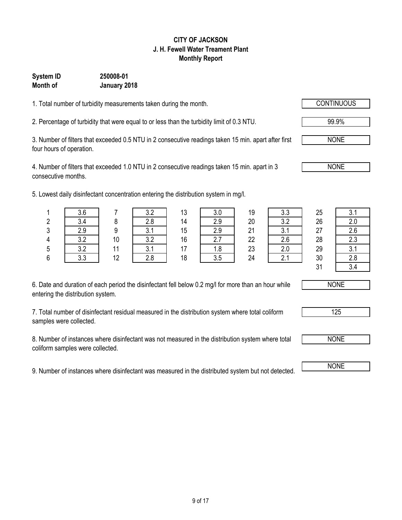## 9 of 17

#### **CITY OF JACKSON J. H. Fewell Water Treament Plant Monthly Report**

### **System ID 250008-01 Month of January 2018**

1. Total number of turbidity measurements taken during the month.

2. Percentage of turbidity that were equal to or less than the turbidity limit of 0.3 NTU. 99.9%

3. Number of filters that exceeded 0.5 NTU in 2 consecutive readings taken 15 min. apart after first four hours of operation.

4. Number of filters that exceeded 1.0 NTU in 2 consecutive readings taken 15 min. apart in 3 consecutive months.

5. Lowest daily disinfectant concentration entering the distribution system in mg/l.

| 6. Date and duration of each period the disinfectant fell below 0.2 mg/l for more than an hour while |  |
|------------------------------------------------------------------------------------------------------|--|
| entering the distribution system.                                                                    |  |

7. Total number of disinfectant residual measured in the distribution system where total coliform samples were collected.

8. Number of instances where disinfectant was not measured in the distribution system where total coliform samples were collected.

9. Number of instances where disinfectant was measured in the distributed system but not detected. NONE

|   | 3.6      |    |              | 13    | v.v      | 19 | v.v    | 25 | <b>?</b> 1<br>∪. । |
|---|----------|----|--------------|-------|----------|----|--------|----|--------------------|
| n | 3.4      |    | 2.8          | 14    | 2.9      | 20 | າ າ    | 26 | 2.0                |
| 3 | 2.9      |    | <sup>o</sup> | 15    | 2.9      | 21 |        | 27 | 2.6                |
| 1 | $\Omega$ | 10 | າ າ<br>J.L   | 16    | <u>.</u> | 22 | $\sim$ | 28 | 2.3                |
| 5 | $\Omega$ | 44 | $\sim$       | $4 -$ | 1.8      | 23 |        | 29 | 3.1                |
| ⌒ | २ २      | 12 | ን ጸ          | 18    | २ म      | 24 |        | ٩Û | ን ጸ                |









NONE

NONE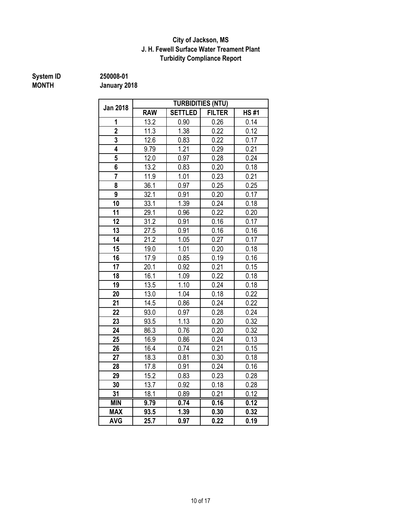#### **City of Jackson, MS J. H. Fewell Surface Water Treament Plant Turbidity Compliance Report**

## **MONTH January 2018**

**System ID 250008-01**

|                 |                   |                | <b>TURBIDITIES (NTU)</b> |             |
|-----------------|-------------------|----------------|--------------------------|-------------|
| <b>Jan 2018</b> | <b>RAW</b>        | <b>SETTLED</b> | <b>FILTER</b>            | <b>HS#1</b> |
| 1               | 13.2              | 0.90           | 0.26                     | 0.14        |
| $\overline{2}$  | 11.3              | 1.38           | 0.22                     | 0.12        |
| $\overline{3}$  | 12.6              | 0.83           | 0.22                     | 0.17        |
| 4               | 9.79              | 1.21           | 0.29                     | 0.21        |
| 5               | 12.0              | 0.97           | 0.28                     | 0.24        |
| 6               | 13.2              | 0.83           | 0.20                     | 0.18        |
| $\overline{7}$  | 11.9              | 1.01           | 0.23                     | 0.21        |
| 8               | 36.1              | 0.97           | 0.25                     | 0.25        |
| 9               | 32.1              | 0.91           | 0.20                     | 0.17        |
| 10              | 33.1              | 1.39           | 0.24                     | 0.18        |
| 11              | 29.1              | 0.96           | 0.22                     | 0.20        |
| 12              | $31.\overline{2}$ | 0.91           | 0.16                     | 0.17        |
| 13              | 27.5              | 0.91           | 0.16                     | 0.16        |
| 14              | 21.2              | 1.05           | 0.27                     | 0.17        |
| 15              | 19.0              | 1.01           | 0.20                     | 0.18        |
| 16              | 17.9              | 0.85           | 0.19                     | 0.16        |
| 17              | 20.1              | 0.92           | 0.21                     | 0.15        |
| 18              | 16.1              | 1.09           | 0.22                     | 0.18        |
| 19              | 13.5              | 1.10           | 0.24                     | 0.18        |
| 20              | 13.0              | 1.04           | 0.18                     | 0.22        |
| 21              | 14.5              | 0.86           | 0.24                     | 0.22        |
| 22              | 93.0              | 0.97           | 0.28                     | 0.24        |
| 23              | 93.5              | 1.13           | 0.20                     | 0.32        |
| 24              | 86.3              | 0.76           | 0.20                     | 0.32        |
| 25              | 16.9              | 0.86           | 0.24                     | 0.13        |
| 26              | 16.4              | 0.74           | 0.21                     | 0.15        |
| 27              | 18.3              | 0.81           | 0.30                     | 0.18        |
| 28              | 17.8              | 0.91           | 0.24                     | 0.16        |
| 29              | 15.2              | 0.83           | 0.23                     | 0.28        |
| 30              | 13.7              | 0.92           | 0.18                     | 0.28        |
| 31              | 18.1              | 0.89           | 0.21                     | 0.12        |
| <b>MIN</b>      | 9.79              | 0.74           | 0.16                     | 0.12        |
| <b>MAX</b>      | 93.5              | 1.39           | 0.30                     | 0.32        |
| <b>AVG</b>      | 25.7              | 0.97           | 0.22                     | 0.19        |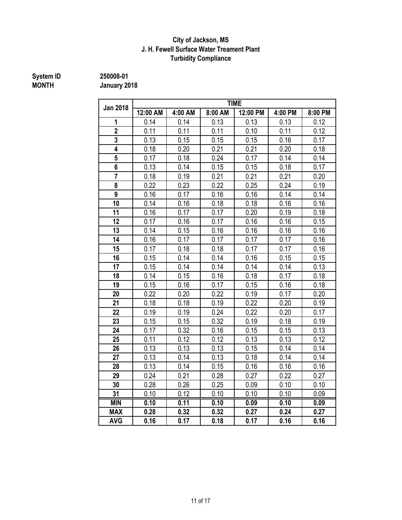#### **J. H. Fewell Surface Water Treament Plant Turbidity Compliance City of Jackson, MS**

## **System ID** 250008-01<br> **MONTH** January 20

**MONTH January 2018**

|                         | <b>TIME</b> |         |                   |          |         |         |  |
|-------------------------|-------------|---------|-------------------|----------|---------|---------|--|
| <b>Jan 2018</b>         | 12:00 AM    | 4:00 AM | 8:00 AM           | 12:00 PM | 4:00 PM | 8:00 PM |  |
| 1                       | 0.14        | 0.14    | 0.13              | 0.13     | 0.13    | 0.12    |  |
| $\overline{2}$          | 0.11        | 0.11    | 0.11              | 0.10     | 0.11    | 0.12    |  |
| $\overline{3}$          | 0.13        | 0.15    | $\overline{0.15}$ | 0.15     | 0.16    | 0.17    |  |
| $\overline{\mathbf{4}}$ | 0.18        | 0.20    | 0.21              | 0.21     | 0.20    | 0.18    |  |
| $5\overline{)}$         | 0.17        | 0.18    | 0.24              | 0.17     | 0.14    | 0.14    |  |
| $6\phantom{a}$          | 0.13        | 0.14    | 0.15              | 0.15     | 0.18    | 0.17    |  |
| $\overline{7}$          | 0.18        | 0.19    | 0.21              | 0.21     | 0.21    | 0.20    |  |
| 8                       | 0.22        | 0.23    | 0.22              | 0.25     | 0.24    | 0.19    |  |
| 9                       | 0.16        | 0.17    | 0.16              | 0.16     | 0.14    | 0.14    |  |
| 10                      | 0.14        | 0.16    | 0.18              | 0.18     | 0.16    | 0.16    |  |
| 11                      | 0.16        | 0.17    | 0.17              | 0.20     | 0.19    | 0.18    |  |
| 12                      | 0.17        | 0.16    | 0.17              | 0.16     | 0.16    | 0.15    |  |
| 13                      | 0.14        | 0.15    | 0.16              | 0.16     | 0.16    | 0.16    |  |
| 14                      | 0.16        | 0.17    | 0.17              | 0.17     | 0.17    | 0.16    |  |
| 15                      | 0.17        | 0.18    | 0.18              | 0.17     | 0.17    | 0.16    |  |
| 16                      | 0.15        | 0.14    | 0.14              | 0.16     | 0.15    | 0.15    |  |
| 17                      | 0.15        | 0.14    | 0.14              | 0.14     | 0.14    | 0.13    |  |
| 18                      | 0.14        | 0.15    | 0.16              | 0.18     | 0.17    | 0.18    |  |
| 19                      | 0.15        | 0.16    | 0.17              | 0.15     | 0.16    | 0.18    |  |
| 20                      | 0.22        | 0.20    | 0.22              | 0.19     | 0.17    | 0.20    |  |
| 21                      | 0.18        | 0.18    | 0.19              | 0.22     | 0.20    | 0.19    |  |
| 22                      | 0.19        | 0.19    | 0.24              | 0.22     | 0.20    | 0.17    |  |
| 23                      | 0.15        | 0.15    | 0.32              | 0.19     | 0.18    | 0.19    |  |
| 24                      | 0.17        | 0.32    | 0.16              | 0.15     | 0.15    | 0.13    |  |
| 25                      | 0.11        | 0.12    | 0.12              | 0.13     | 0.13    | 0.12    |  |
| 26                      | 0.13        | 0.13    | 0.13              | 0.15     | 0.14    | 0.14    |  |
| 27                      | 0.13        | 0.14    | 0.13              | 0.18     | 0.14    | 0.14    |  |
| 28                      | 0.13        | 0.14    | 0.15              | 0.16     | 0.16    | 0.16    |  |
| 29                      | 0.24        | 0.21    | 0.28              | 0.27     | 0.22    | 0.27    |  |
| 30                      | 0.28        | 0.26    | 0.25              | 0.09     | 0.10    | 0.10    |  |
| 31                      | 0.10        | 0.12    | 0.10              | 0.10     | 0.10    | 0.09    |  |
| <b>MIN</b>              | 0.10        | 0.11    | 0.10              | 0.09     | 0.10    | 0.09    |  |
| <b>MAX</b>              | 0.28        | 0.32    | 0.32              | 0.27     | 0.24    | 0.27    |  |
| <b>AVG</b>              | 0.16        | 0.17    | 0.18              | 0.17     | 0.16    | 0.16    |  |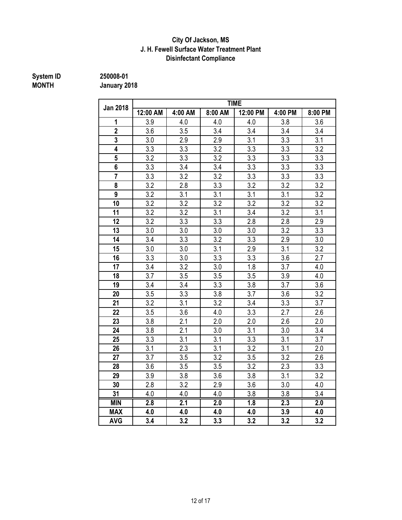### **J. H. Fewell Surface Water Treatment Plant City Of Jackson, MS Disinfectant Compliance**

## **System ID** 250008-01<br> **MONTH** January 20

**MONTH January 2018**

|                         |                  |         |                  | <b>TIME</b> |                  |                  |
|-------------------------|------------------|---------|------------------|-------------|------------------|------------------|
| <b>Jan 2018</b>         | 12:00 AM         | 4:00 AM | 8:00 AM          | 12:00 PM    | 4:00 PM          | 8:00 PM          |
| 1                       | 3.9              | 4.0     | 4.0              | 4.0         | 3.8              | 3.6              |
| $\overline{2}$          | 3.6              | 3.5     | 3.4              | 3.4         | 3.4              | 3.4              |
| 3                       | 3.0              | 2.9     | 2.9              | 3.1         | 3.3              | 3.1              |
| $\overline{\mathbf{4}}$ | 3.3              | 3.3     | 3.2              | 3.3         | 3.3              | 3.2              |
| 5                       | 3.2              | 3.3     | 3.2              | 3.3         | 3.3              | 3.3              |
| 6                       | 3.3              | 3.4     | 3.4              | 3.3         | 3.3              | 3.3              |
| $\overline{\mathbf{7}}$ | 3.3              | 3.2     | 3.2              | 3.3         | 3.3              | 3.3              |
| 8                       | 3.2              | 2.8     | 3.3              | 3.2         | 3.2              | 3.2              |
| 9                       | 3.2              | 3.1     | 3.1              | 3.1         | 3.1              | 3.2              |
| 10                      | 3.2              | 3.2     | 3.2              | 3.2         | 3.2              | 3.2              |
| 11                      | 3.2              | 3.2     | 3.1              | 3.4         | 3.2              | 3.1              |
| 12                      | 3.2              | 3.3     | 3.3              | 2.8         | 2.8              | 2.9              |
| 13                      | 3.0              | 3.0     | 3.0              | 3.0         | 3.2              | 3.3              |
| 14                      | 3.4              | 3.3     | 3.2              | 3.3         | 2.9              | 3.0              |
| 15                      | 3.0              | 3.0     | 3.1              | 2.9         | 3.1              | 3.2              |
| 16                      | 3.3              | 3.0     | 3.3              | 3.3         | 3.6              | 2.7              |
| 17                      | 3.4              | 3.2     | 3.0              | 1.8         | 3.7              | 4.0              |
| 18                      | 3.7              | 3.5     | 3.5              | 3.5         | 3.9              | 4.0              |
| 19                      | 3.4              | 3.4     | 3.3              | 3.8         | 3.7              | 3.6              |
| 20                      | 3.5              | 3.3     | 3.8              | 3.7         | 3.6              | 3.2              |
| 21                      | 3.2              | 3.1     | 3.2              | 3.4         | 3.3              | 3.7              |
| 22                      | 3.5              | 3.6     | 4.0              | 3.3         | 2.7              | 2.6              |
| 23                      | 3.8              | 2.1     | 2.0              | 2.0         | 2.6              | 2.0              |
| 24                      | 3.8              | 2.1     | 3.0              | 3.1         | 3.0              | 3.4              |
| 25                      | 3.3              | 3.1     | 3.1              | 3.3         | 3.1              | 3.7              |
| 26                      | 3.1              | 2.3     | 3.1              | 3.2         | 3.1              | 2.0              |
| 27                      | 3.7              | 3.5     | 3.2              | 3.5         | 3.2              | 2.6              |
| 28                      | 3.6              | 3.5     | 3.5              | 3.2         | 2.3              | 3.3              |
| 29                      | 3.9              | 3.8     | 3.6              | 3.8         | 3.1              | 3.2              |
| 30                      | 2.8              | 3.2     | 2.9              | 3.6         | 3.0              | 4.0              |
| 31                      | 4.0              | 4.0     | 4.0              | 3.8         | 3.8              | 3.4              |
| <b>MIN</b>              | $\overline{2.8}$ | 2.1     | $\overline{2.0}$ | 1.8         | $\overline{2.3}$ | $\overline{2.0}$ |
| <b>MAX</b>              | 4.0              | 4.0     | 4.0              | 4.0         | 3.9              | 4.0              |
| <b>AVG</b>              | 3.4              | 3.2     | 3.3              | 3.2         | 3.2              | 3.2              |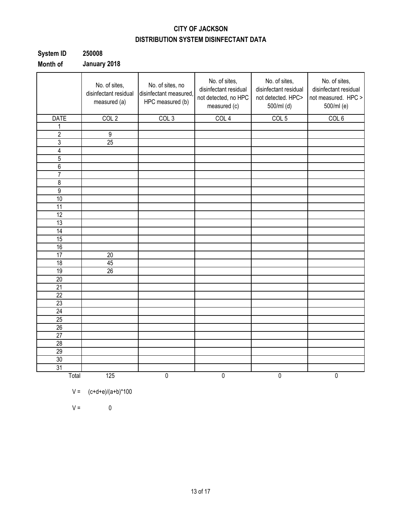### **CITY OF JACKSON DISTRIBUTION SYSTEM DISINFECTANT DATA**

| System ID | 250008       |
|-----------|--------------|
| Month of  | January 2018 |

|                 | No. of sites,<br>disinfectant residual<br>measured (a) | No. of sites, no<br>disinfectant measured,<br>HPC measured (b) | No. of sites,<br>disinfectant residual<br>not detected, no HPC<br>measured (c) | No. of sites,<br>disinfectant residual<br>not detected. HPC><br>500/ml (d) | No. of sites,<br>disinfectant residual<br>not measured. HPC ><br>500/ml (e) |
|-----------------|--------------------------------------------------------|----------------------------------------------------------------|--------------------------------------------------------------------------------|----------------------------------------------------------------------------|-----------------------------------------------------------------------------|
| <b>DATE</b>     | COL <sub>2</sub>                                       | COL3                                                           | COL <sub>4</sub>                                                               | COL <sub>5</sub>                                                           | COL <sub>6</sub>                                                            |
| 1               |                                                        |                                                                |                                                                                |                                                                            |                                                                             |
| $\overline{2}$  | $\overline{9}$                                         |                                                                |                                                                                |                                                                            |                                                                             |
| 3               | $\overline{25}$                                        |                                                                |                                                                                |                                                                            |                                                                             |
| 4               |                                                        |                                                                |                                                                                |                                                                            |                                                                             |
| 5               |                                                        |                                                                |                                                                                |                                                                            |                                                                             |
| $\overline{6}$  |                                                        |                                                                |                                                                                |                                                                            |                                                                             |
| $\overline{7}$  |                                                        |                                                                |                                                                                |                                                                            |                                                                             |
| $\overline{8}$  |                                                        |                                                                |                                                                                |                                                                            |                                                                             |
| $\overline{9}$  |                                                        |                                                                |                                                                                |                                                                            |                                                                             |
| 10              |                                                        |                                                                |                                                                                |                                                                            |                                                                             |
| 11              |                                                        |                                                                |                                                                                |                                                                            |                                                                             |
| 12              |                                                        |                                                                |                                                                                |                                                                            |                                                                             |
| 13              |                                                        |                                                                |                                                                                |                                                                            |                                                                             |
| $\overline{14}$ |                                                        |                                                                |                                                                                |                                                                            |                                                                             |
| 15              |                                                        |                                                                |                                                                                |                                                                            |                                                                             |
| 16              |                                                        |                                                                |                                                                                |                                                                            |                                                                             |
| $\overline{17}$ | $\overline{20}$                                        |                                                                |                                                                                |                                                                            |                                                                             |
| $\overline{18}$ | 45                                                     |                                                                |                                                                                |                                                                            |                                                                             |
| 19              | $\overline{26}$                                        |                                                                |                                                                                |                                                                            |                                                                             |
| 20              |                                                        |                                                                |                                                                                |                                                                            |                                                                             |
| 21              |                                                        |                                                                |                                                                                |                                                                            |                                                                             |
| 22              |                                                        |                                                                |                                                                                |                                                                            |                                                                             |
| 23              |                                                        |                                                                |                                                                                |                                                                            |                                                                             |
| 24              |                                                        |                                                                |                                                                                |                                                                            |                                                                             |
| 25              |                                                        |                                                                |                                                                                |                                                                            |                                                                             |
| 26              |                                                        |                                                                |                                                                                |                                                                            |                                                                             |
| $\overline{27}$ |                                                        |                                                                |                                                                                |                                                                            |                                                                             |
| $\overline{28}$ |                                                        |                                                                |                                                                                |                                                                            |                                                                             |
| 29              |                                                        |                                                                |                                                                                |                                                                            |                                                                             |
| 30              |                                                        |                                                                |                                                                                |                                                                            |                                                                             |
| 31              |                                                        |                                                                |                                                                                |                                                                            |                                                                             |
| Total           | 125                                                    | $\overline{0}$                                                 | $\overline{0}$                                                                 | $\pmb{0}$                                                                  | $\overline{0}$                                                              |

$$
V = (c+d+e)/(a+b)^*100
$$

 $V = 0$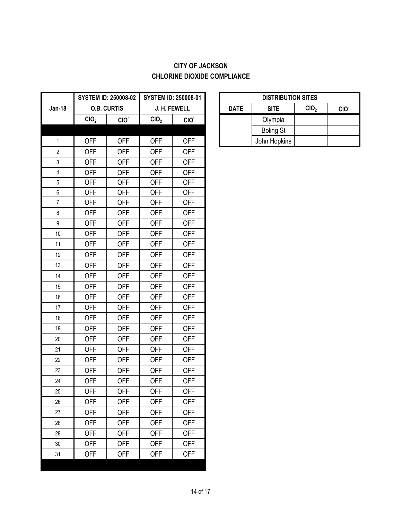### **CITY OF JACKSON CHLORINE DIOXIDE COMPLIANCE**

| <b>Jan-18</b>           |                  |                    |                  | <b>SYSTEM ID: 250008-01</b> |             | <b>DISTRIBUT</b> |
|-------------------------|------------------|--------------------|------------------|-----------------------------|-------------|------------------|
|                         |                  | <b>O.B. CURTIS</b> |                  | J. H. FEWELL                | <b>DATE</b> | <b>SITE</b>      |
|                         | CIO <sub>2</sub> | CIO.               | CIO <sub>2</sub> | CIO.                        |             | Olympia          |
|                         |                  |                    |                  |                             |             | <b>Boling St</b> |
| $\mathbf{1}$            | <b>OFF</b>       | <b>OFF</b>         | <b>OFF</b>       | <b>OFF</b>                  |             | John Hopkins     |
| $\overline{2}$          | <b>OFF</b>       | <b>OFF</b>         | <b>OFF</b>       | <b>OFF</b>                  |             |                  |
| 3                       | <b>OFF</b>       | <b>OFF</b>         | <b>OFF</b>       | <b>OFF</b>                  |             |                  |
| $\overline{\mathbf{4}}$ | <b>OFF</b>       | <b>OFF</b>         | <b>OFF</b>       | <b>OFF</b>                  |             |                  |
| 5                       | <b>OFF</b>       | <b>OFF</b>         | <b>OFF</b>       | <b>OFF</b>                  |             |                  |
| $\boldsymbol{6}$        | <b>OFF</b>       | <b>OFF</b>         | <b>OFF</b>       | <b>OFF</b>                  |             |                  |
| $\overline{7}$          | <b>OFF</b>       | <b>OFF</b>         | <b>OFF</b>       | <b>OFF</b>                  |             |                  |
| $\,8\,$                 | <b>OFF</b>       | <b>OFF</b>         | <b>OFF</b>       | <b>OFF</b>                  |             |                  |
| $\boldsymbol{9}$        | <b>OFF</b>       | <b>OFF</b>         | <b>OFF</b>       | <b>OFF</b>                  |             |                  |
| 10                      | <b>OFF</b>       | <b>OFF</b>         | <b>OFF</b>       | <b>OFF</b>                  |             |                  |
| 11                      | <b>OFF</b>       | <b>OFF</b>         | <b>OFF</b>       | <b>OFF</b>                  |             |                  |
| 12                      | <b>OFF</b>       | <b>OFF</b>         | <b>OFF</b>       | <b>OFF</b>                  |             |                  |
| 13                      | <b>OFF</b>       | <b>OFF</b>         | <b>OFF</b>       | <b>OFF</b>                  |             |                  |
| 14                      | <b>OFF</b>       | <b>OFF</b>         | <b>OFF</b>       | <b>OFF</b>                  |             |                  |
| 15                      | <b>OFF</b>       | <b>OFF</b>         | <b>OFF</b>       | <b>OFF</b>                  |             |                  |
| 16                      | <b>OFF</b>       | <b>OFF</b>         | <b>OFF</b>       | <b>OFF</b>                  |             |                  |
| 17                      | <b>OFF</b>       | <b>OFF</b>         | <b>OFF</b>       | <b>OFF</b>                  |             |                  |
| 18                      | <b>OFF</b>       | <b>OFF</b>         | <b>OFF</b>       | <b>OFF</b>                  |             |                  |
| 19                      | <b>OFF</b>       | <b>OFF</b>         | <b>OFF</b>       | <b>OFF</b>                  |             |                  |
| 20                      | <b>OFF</b>       | <b>OFF</b>         | <b>OFF</b>       | <b>OFF</b>                  |             |                  |
| 21                      | <b>OFF</b>       | <b>OFF</b>         | <b>OFF</b>       | <b>OFF</b>                  |             |                  |
| 22                      | <b>OFF</b>       | <b>OFF</b>         | <b>OFF</b>       | <b>OFF</b>                  |             |                  |
| 23                      | <b>OFF</b>       | <b>OFF</b>         | <b>OFF</b>       | <b>OFF</b>                  |             |                  |
| 24                      | <b>OFF</b>       | <b>OFF</b>         | <b>OFF</b>       | <b>OFF</b>                  |             |                  |
| 25                      | <b>OFF</b>       | <b>OFF</b>         | <b>OFF</b>       | <b>OFF</b>                  |             |                  |
| 26                      | <b>OFF</b>       | <b>OFF</b>         | <b>OFF</b>       | <b>OFF</b>                  |             |                  |
| 27                      | <b>OFF</b>       | <b>OFF</b>         | <b>OFF</b>       | <b>OFF</b>                  |             |                  |
| 28                      | <b>OFF</b>       | <b>OFF</b>         | <b>OFF</b>       | <b>OFF</b>                  |             |                  |
| 29                      | <b>OFF</b>       | <b>OFF</b>         | <b>OFF</b>       | <b>OFF</b>                  |             |                  |
| 30                      | <b>OFF</b>       | <b>OFF</b>         | <b>OFF</b>       | <b>OFF</b>                  |             |                  |
| 31                      | <b>OFF</b>       | <b>OFF</b>         | <b>OFF</b>       | <b>OFF</b>                  |             |                  |

| <b>DISTRIBUTION SITES</b> |                                                     |  |  |  |  |  |  |
|---------------------------|-----------------------------------------------------|--|--|--|--|--|--|
| <b>DATE</b>               | CIO <sub>2</sub><br><b>SITE</b><br>CIO <sup>.</sup> |  |  |  |  |  |  |
|                           | Olympia                                             |  |  |  |  |  |  |
|                           | <b>Boling St</b>                                    |  |  |  |  |  |  |
|                           | John Hopkins                                        |  |  |  |  |  |  |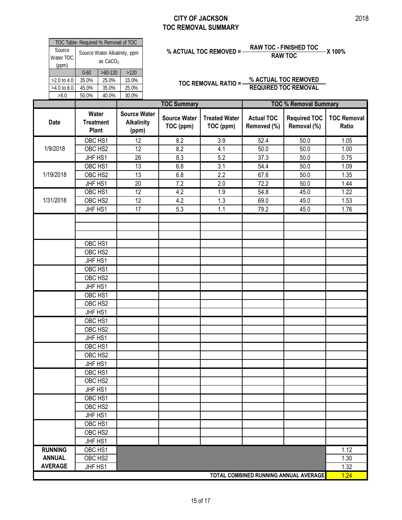#### **CITY OF JACKSON TOC REMOVAL SUMMARY**

|                                      | Water                                      |           | Source Wate<br>. | . . |  |  |  |
|--------------------------------------|--------------------------------------------|-----------|------------------|-----|--|--|--|
|                                      |                                            |           |                  |     |  |  |  |
| >8.0                                 | 50.0%                                      | 40.0%     | 30.0%            |     |  |  |  |
| $>4.0$ to 8.0                        | 45.0%                                      | 35.0%     | 25.0%            |     |  |  |  |
| $>2.0$ to 4.0                        | 35.0%                                      | 25.0%     | 15.0%            |     |  |  |  |
|                                      | $0 - 60$                                   | $>60-120$ | >120             |     |  |  |  |
| Source<br>Water TOC<br>(ppm)         | Source Water Alkalinity, ppm<br>as $CaCO3$ |           |                  |     |  |  |  |
| TOC Table- Required % Removal of TOC |                                            |           |                  |     |  |  |  |

# **% ACTUAL TOC REMOVED = RAW TOC - FINISHED TOC X 100% RAW TOC**

**TOC REMOVAL RATIO = % ACTUAL TOC REMOVED REQUIRED TOC REMOVAL**

|                |                                           | <b>TOC Summary</b><br><b>TOC % Removal Summary</b> |                                  |                                   |                                  |                                       |                             |
|----------------|-------------------------------------------|----------------------------------------------------|----------------------------------|-----------------------------------|----------------------------------|---------------------------------------|-----------------------------|
| Date           | Water<br><b>Treatment</b><br><b>Plant</b> | <b>Source Water</b><br><b>Alkalinity</b><br>(ppm)  | <b>Source Water</b><br>TOC (ppm) | <b>Treated Water</b><br>TOC (ppm) | <b>Actual TOC</b><br>Removed (%) | <b>Required TOC</b><br>Removal (%)    | <b>TOC Removal</b><br>Ratio |
|                | OBC HS1                                   | 12                                                 | 8.2                              | $\overline{3.9}$                  | 52.4                             | 50.0                                  | 1.05                        |
| 1/9/2018       | OBC HS2                                   | 12                                                 | 8.2                              | 4.1                               | 50.0                             | 50.0                                  | 1.00                        |
|                | JHF HS1                                   | 26                                                 | 8.3                              | 5.2                               | 37.3                             | 50.0                                  | 0.75                        |
|                | OBC HS1                                   | $\overline{13}$                                    | 6.8                              | 3.1                               | 54.4                             | 50.0                                  | 1.09                        |
| 1/19/2018      | OBC HS2                                   | 13                                                 | 6.8                              | 2.2                               | 67.6                             | 50.0                                  | 1.35                        |
|                | JHF HS1                                   | 20                                                 | 7.2                              | 2.0                               | 72.2                             | 50.0                                  | 1.44                        |
|                | OBC HS1                                   | 12                                                 | 4.2                              | 1.9                               | 54.8                             | 45.0                                  | 1.22                        |
| 1/31/2018      | OBC HS2                                   | 12                                                 | 4.2                              | 1.3                               | 69.0                             | 45.0                                  | 1.53                        |
|                | JHF HS1                                   | 17                                                 | 5.3                              | 1.1                               | 79.2                             | 45.0                                  | 1.76                        |
|                |                                           |                                                    |                                  |                                   |                                  |                                       |                             |
|                |                                           |                                                    |                                  |                                   |                                  |                                       |                             |
|                |                                           |                                                    |                                  |                                   |                                  |                                       |                             |
|                | OBC HS1                                   |                                                    |                                  |                                   |                                  |                                       |                             |
|                | OBC HS2                                   |                                                    |                                  |                                   |                                  |                                       |                             |
|                | JHF HS1                                   |                                                    |                                  |                                   |                                  |                                       |                             |
|                | OBC HS1                                   |                                                    |                                  |                                   |                                  |                                       |                             |
|                | OBC HS2                                   |                                                    |                                  |                                   |                                  |                                       |                             |
|                | JHF HS1                                   |                                                    |                                  |                                   |                                  |                                       |                             |
|                | OBC HS1                                   |                                                    |                                  |                                   |                                  |                                       |                             |
|                | OBC HS2                                   |                                                    |                                  |                                   |                                  |                                       |                             |
|                | JHF HS1                                   |                                                    |                                  |                                   |                                  |                                       |                             |
|                | OBC HS1                                   |                                                    |                                  |                                   |                                  |                                       |                             |
|                | OBC HS2                                   |                                                    |                                  |                                   |                                  |                                       |                             |
|                | JHF HS1                                   |                                                    |                                  |                                   |                                  |                                       |                             |
|                | OBC HS1                                   |                                                    |                                  |                                   |                                  |                                       |                             |
|                | OBC HS2                                   |                                                    |                                  |                                   |                                  |                                       |                             |
|                | JHF HS1                                   |                                                    |                                  |                                   |                                  |                                       |                             |
|                | OBC HS1                                   |                                                    |                                  |                                   |                                  |                                       |                             |
|                | OBC HS2                                   |                                                    |                                  |                                   |                                  |                                       |                             |
|                | JHF HS1                                   |                                                    |                                  |                                   |                                  |                                       |                             |
|                | OBC HS1                                   |                                                    |                                  |                                   |                                  |                                       |                             |
|                | OBC HS2                                   |                                                    |                                  |                                   |                                  |                                       |                             |
|                | JHF HS1                                   |                                                    |                                  |                                   |                                  |                                       |                             |
|                | OBC HS1                                   |                                                    |                                  |                                   |                                  |                                       |                             |
|                | OBC <sub>HS2</sub>                        |                                                    |                                  |                                   |                                  |                                       |                             |
|                | JHF HS1                                   |                                                    |                                  |                                   |                                  |                                       |                             |
| <b>RUNNING</b> | OBC HS1                                   |                                                    |                                  |                                   |                                  |                                       | 1.12                        |
| <b>ANNUAL</b>  | OBC HS2                                   |                                                    |                                  |                                   |                                  |                                       | 1.30                        |
| <b>AVERAGE</b> | JHF HS1                                   |                                                    |                                  |                                   |                                  |                                       | 1.32                        |
|                |                                           |                                                    |                                  |                                   |                                  | TOTAL COMBINED RUNNING ANNUAL AVERAGE | 1.24                        |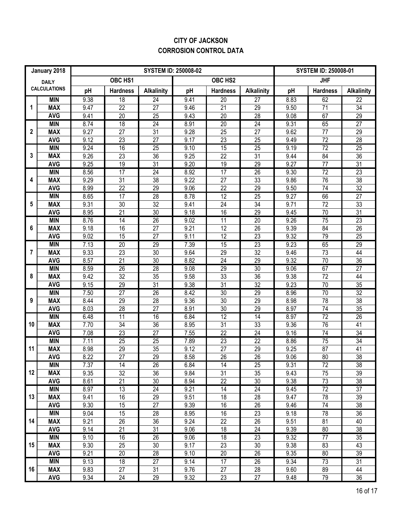### **CITY OF JACKSON CORROSION CONTROL DATA**

| January 2018                        |                          | <b>SYSTEM ID: 250008-02</b> |                       |                       |              |                       |                       |              | <b>SYSTEM ID: 250008-01</b> |                       |  |
|-------------------------------------|--------------------------|-----------------------------|-----------------------|-----------------------|--------------|-----------------------|-----------------------|--------------|-----------------------------|-----------------------|--|
| <b>DAILY</b><br><b>CALCULATIONS</b> |                          | OBC HS1<br>OBC HS2          |                       |                       |              |                       |                       | <b>JHF</b>   |                             |                       |  |
|                                     |                          | pH                          | <b>Hardness</b>       | <b>Alkalinity</b>     | pH           | <b>Hardness</b>       | <b>Alkalinity</b>     | pH           | <b>Hardness</b>             | <b>Alkalinity</b>     |  |
| 1                                   | <b>MIN</b>               | 9.38                        | $\overline{18}$       | 24                    | 9.41         | 20                    | $\overline{27}$       | 8.83         | 62                          | $\overline{22}$       |  |
|                                     | <b>MAX</b>               | 9.47                        | 22                    | $\overline{27}$       | 9.46         | 21                    | 29                    | 9.50         | 71                          | 34                    |  |
|                                     | <b>AVG</b>               | 9.41                        | $\overline{20}$       | $\overline{25}$       | 9.43         | 20                    | $\overline{28}$       | 9.08         | 67                          | $\overline{29}$       |  |
|                                     | <b>MIN</b>               | 8.74                        | 18                    | 24                    | 8.91         | $\overline{20}$       | 24                    | 9.31         | 65                          | $\overline{27}$       |  |
| $\mathbf 2$                         | <b>MAX</b>               | 9.27                        | 27                    | 31                    | 9.28         | 25                    | 27                    | 9.62         | 77                          | 29                    |  |
|                                     | <b>AVG</b>               | 9.12                        | 23                    | $\overline{27}$       | 9.17         | 23                    | 25                    | 9.49         | $\overline{72}$             | $\overline{28}$       |  |
| 3                                   | <b>MIN</b>               | 9.24                        | 16                    | 25                    | 9.10         | 15                    | $\overline{25}$       | 9.19         | 72                          | 25                    |  |
|                                     | <b>MAX</b>               | 9.26                        | 23                    | 36                    | 9.25         | 22                    | $\overline{31}$       | 9.44         | 84                          | 36                    |  |
|                                     | <b>AVG</b>               | 9.25                        | 19                    | $\overline{31}$       | 9.20         | 19                    | 29                    | 9.27         | 77                          | $\overline{31}$       |  |
| 4                                   | <b>MIN</b>               | 8.56                        | $\overline{17}$       | 24                    | 8.92         | 17                    | $\overline{26}$       | 9.30         | $\overline{72}$             | $\overline{23}$       |  |
|                                     | <b>MAX</b>               | 9.29                        | 31                    | 38                    | 9.22         | 27                    | 33                    | 9.86         | 76                          | 38                    |  |
|                                     | <b>AVG</b>               | 8.99                        | 22                    | 29                    | 9.06         | 22                    | 29                    | 9.50         | 74                          | 32                    |  |
| 5                                   | <b>MIN</b>               | 8.65                        | 17                    | 28                    | 8.78         | 12                    | $\overline{25}$       | 9.27         | 66                          | $\overline{27}$       |  |
|                                     | <b>MAX</b>               | 9.31                        | 30                    | $\overline{32}$       | 9.41         | 24                    | 34                    | 9.71         | 72                          | 33                    |  |
|                                     | <b>AVG</b><br><b>MIN</b> | 8.95                        | 21                    | $\overline{30}$<br>26 | 9.18         | 16                    | 29                    | 9.45         | 70                          | 31                    |  |
| 6                                   | <b>MAX</b>               | 8.76<br>9.18                | $\overline{14}$<br>16 | 27                    | 9.02<br>9.21 | $\overline{11}$<br>12 | $\overline{20}$<br>26 | 9.26<br>9.39 | 75<br>84                    | $\overline{23}$<br>26 |  |
|                                     | <b>AVG</b>               | 9.02                        | 15                    | 27                    | 9.11         | 12                    | 23                    | 9.32         | 79                          | 25                    |  |
|                                     | <b>MIN</b>               | 7.13                        | $\overline{20}$       | 29                    | 7.39         | 15                    | 23                    | 9.23         | 65                          | 29                    |  |
| 7                                   | <b>MAX</b>               | 9.33                        | 23                    | 30                    | 9.64         | 29                    | 32                    | 9.46         | 73                          | 44                    |  |
|                                     | <b>AVG</b>               | 8.57                        | $\overline{21}$       | 30                    | 8.82         | 24                    | 29                    | 9.32         | $\overline{70}$             | $\overline{36}$       |  |
|                                     | <b>MIN</b>               | 8.59                        | $\overline{26}$       | 28                    | 9.08         | 29                    | 30                    | 9.06         | 67                          | 27                    |  |
| 8                                   | <b>MAX</b>               | 9.42                        | $\overline{32}$       | $\overline{35}$       | 9.58         | 33                    | 36                    | 9.38         | 72                          | 44                    |  |
|                                     | <b>AVG</b>               | 9.15                        | 29                    | 31                    | 9.38         | 31                    | 32                    | 9.23         | 70                          | $\overline{35}$       |  |
|                                     | <b>MIN</b>               | 7.50                        | 27                    | 26                    | 8.42         | 30                    | 29                    | 8.96         | 70                          | $\overline{32}$       |  |
| 9                                   | <b>MAX</b>               | 8.44                        | 29                    | $\overline{28}$       | 9.36         | 30                    | 29                    | 8.98         | 78                          | $\overline{38}$       |  |
|                                     | <b>AVG</b>               | 8.03                        | 28                    | $\overline{27}$       | 8.91         | $\overline{30}$       | $\overline{29}$       | 8.97         | $\overline{74}$             | $\overline{35}$       |  |
|                                     | <b>MIN</b>               | 6.48                        | $\overline{11}$       | 16                    | 6.84         | $\overline{12}$       | $\overline{14}$       | 8.97         | 72                          | $\overline{26}$       |  |
| 10                                  | <b>MAX</b>               | 7.70                        | 34                    | $\overline{36}$       | 8.95         | $\overline{31}$       | 33                    | 9.36         | 76                          | 41                    |  |
|                                     | <b>AVG</b>               | 7.08                        | 23                    | 27                    | 7.55         | 22                    | $\overline{24}$       | 9.16         | $\overline{74}$             | $\overline{34}$       |  |
|                                     | <b>MIN</b>               | 7.11                        | 25                    | 25                    | 7.89         | 23                    | $\overline{22}$       | 8.86         | 75                          | 34                    |  |
| 11                                  | <b>MAX</b>               | 8.98                        | 29                    | 35                    | 9.12         | 27                    | $\overline{29}$       | 9.25         | 87                          | 41                    |  |
|                                     | <b>AVG</b>               | 8.22                        | $\overline{27}$       | $\overline{29}$       | 8.58         | $\overline{26}$       | $\overline{26}$       | 9.06         | $\overline{80}$             | $\overline{38}$       |  |
| 12                                  | <b>MIN</b>               | 7.37                        | 14                    | $\overline{26}$       | 6.84         | 14                    | 25                    | 9.31         | 72                          | $\overline{38}$       |  |
|                                     | <b>MAX</b>               | 9.35                        | 32                    | 36                    | 9.84         | 31                    | 35                    | 9.43         | 75                          | 39                    |  |
|                                     | <b>AVG</b>               | 8.61                        | 21                    | 30                    | 8.94         | 22                    | 30                    | 9.38         | 73                          | 38                    |  |
| 13                                  | <b>MIN</b>               | 8.97                        | 13                    | $\overline{24}$       | 9.21         | 14                    | $\overline{24}$       | 9.45         | $\overline{72}$             | 37                    |  |
|                                     | <b>MAX</b>               | 9.41                        | 16                    | 29                    | 9.51         | 18                    | 28                    | 9.47         | 78                          | 39                    |  |
|                                     | <b>AVG</b>               | 9.30                        | 15                    | 27                    | 9.39         | 16                    | 26                    | 9.46         | 74                          | 38                    |  |
|                                     | <b>MIN</b>               | 9.04                        | 15                    | $\overline{28}$       | 8.95         | 16                    | 23                    | 9.18         | 78                          | 36                    |  |
| 14                                  | <b>MAX</b>               | 9.21                        | 26                    | 36                    | 9.24         | 22                    | 26                    | 9.51         | 81                          | 40                    |  |
| 15                                  | <b>AVG</b><br><b>MIN</b> | 9.14<br>9.10                | 21<br>16              | 31<br>$\overline{26}$ | 9.06<br>9.06 | 18<br>18              | 24<br>$\overline{23}$ | 9.39<br>9.32 | 80<br>77                    | 38<br>$\overline{35}$ |  |
|                                     | <b>MAX</b>               | 9.30                        | 25                    | 30                    | 9.17         | 23                    | 30                    | 9.38         | 83                          | 43                    |  |
|                                     | <b>AVG</b>               | 9.21                        | 20                    | 28                    | 9.10         | 20                    | 26                    | 9.35         | 80                          | 39                    |  |
|                                     | <b>MIN</b>               | 9.13                        | 18                    | $\overline{27}$       | 9.14         | $\overline{17}$       | $\overline{26}$       | 9.34         | $\overline{73}$             | $\overline{31}$       |  |
| 16                                  | <b>MAX</b>               | 9.83                        | 27                    | 31                    | 9.76         | 27                    | 28                    | 9.60         | 89                          | 44                    |  |
|                                     | <b>AVG</b>               | 9.34                        | 24                    | 29                    | 9.32         | 23                    | 27                    | 9.48         | 79                          | 36                    |  |